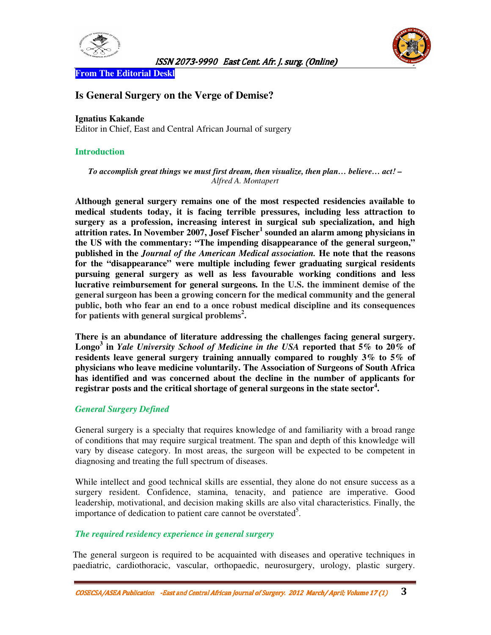



**From The Editorial Deskl;** 

# **Is General Surgery on the Verge of Demise?**

### **Ignatius Kakande**

Editor in Chief, East and Central African Journal of surgery

### **Introduction**

*To accomplish great things we must first dream, then visualize, then plan… believe… act! – Alfred A. Montapert*

**Although general surgery remains one of the most respected residencies available to medical students today, it is facing terrible pressures, including less attraction to surgery as a profession, increasing interest in surgical sub specialization, and high attrition rates. In November 2007, Josef Fischer<sup>1</sup> sounded an alarm among physicians in the US with the commentary: "The impending disappearance of the general surgeon," published in the** *Journal of the American Medical association.* **He note that the reasons for the "disappearance" were multiple including fewer graduating surgical residents pursuing general surgery as well as less favourable working conditions and less lucrative reimbursement for general surgeons. In the U.S. the imminent demise of the general surgeon has been a growing concern for the medical community and the general public, both who fear an end to a once robust medical discipline and its consequences for patients with general surgical problems<sup>2</sup> .** 

**There is an abundance of literature addressing the challenges facing general surgery. Longo<sup>3</sup> in** *Yale University School of Medicine in the USA* **reported that 5% to 20% of residents leave general surgery training annually compared to roughly 3% to 5% of physicians who leave medicine voluntarily. The Association of Surgeons of South Africa has identified and was concerned about the decline in the number of applicants for registrar posts and the critical shortage of general surgeons in the state sector<sup>4</sup> .** 

# *General Surgery Defined*

General surgery is a specialty that requires knowledge of and familiarity with a broad range of conditions that may require surgical treatment. The span and depth of this knowledge will vary by disease category. In most areas, the surgeon will be expected to be competent in diagnosing and treating the full spectrum of diseases.

While intellect and good technical skills are essential, they alone do not ensure success as a surgery resident. Confidence, stamina, tenacity, and patience are imperative. Good leadership, motivational, and decision making skills are also vital characteristics. Finally, the importance of dedication to patient care cannot be overstated<sup>5</sup>.

### *The required residency experience in general surgery*

The general surgeon is required to be acquainted with diseases and operative techniques in paediatric, cardiothoracic, vascular, orthopaedic, neurosurgery, urology, plastic surgery.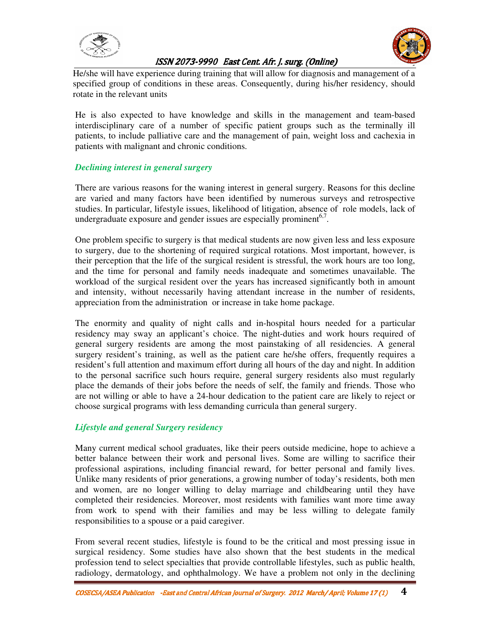



He/she will have experience during training that will allow for diagnosis and management of a specified group of conditions in these areas. Consequently, during his/her residency, should rotate in the relevant units

He is also expected to have knowledge and skills in the management and team-based interdisciplinary care of a number of specific patient groups such as the terminally ill patients, to include palliative care and the management of pain, weight loss and cachexia in patients with malignant and chronic conditions.

### *Declining interest in general surgery*

There are various reasons for the waning interest in general surgery. Reasons for this decline are varied and many factors have been identified by numerous surveys and retrospective studies. In particular, lifestyle issues, likelihood of litigation, absence of role models, lack of undergraduate exposure and gender issues are especially prominent<sup>6,7</sup>.

One problem specific to surgery is that medical students are now given less and less exposure to surgery, due to the shortening of required surgical rotations. Most important, however, is their perception that the life of the surgical resident is stressful, the work hours are too long, and the time for personal and family needs inadequate and sometimes unavailable. The workload of the surgical resident over the years has increased significantly both in amount and intensity, without necessarily having attendant increase in the number of residents, appreciation from the administration or increase in take home package.

The enormity and quality of night calls and in-hospital hours needed for a particular residency may sway an applicant's choice. The night-duties and work hours required of general surgery residents are among the most painstaking of all residencies. A general surgery resident's training, as well as the patient care he/she offers, frequently requires a resident's full attention and maximum effort during all hours of the day and night. In addition to the personal sacrifice such hours require, general surgery residents also must regularly place the demands of their jobs before the needs of self, the family and friends. Those who are not willing or able to have a 24-hour dedication to the patient care are likely to reject or choose surgical programs with less demanding curricula than general surgery.

### *Lifestyle and general Surgery residency*

Many current medical school graduates, like their peers outside medicine, hope to achieve a better balance between their work and personal lives. Some are willing to sacrifice their professional aspirations, including financial reward, for better personal and family lives. Unlike many residents of prior generations, a growing number of today's residents, both men and women, are no longer willing to delay marriage and childbearing until they have completed their residencies. Moreover, most residents with families want more time away from work to spend with their families and may be less willing to delegate family responsibilities to a spouse or a paid caregiver.

From several recent studies, lifestyle is found to be the critical and most pressing issue in surgical residency. Some studies have also shown that the best students in the medical profession tend to select specialties that provide controllable lifestyles, such as public health, radiology, dermatology, and ophthalmology. We have a problem not only in the declining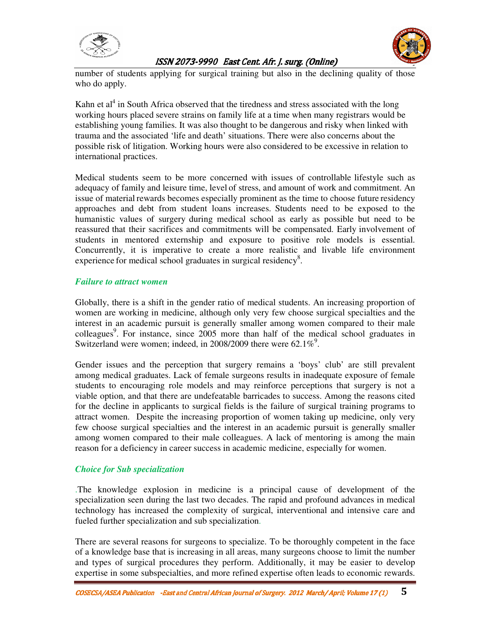



number of students applying for surgical training but also in the declining quality of those who do apply.

Kahn et  $al<sup>4</sup>$  in South Africa observed that the tiredness and stress associated with the long working hours placed severe strains on family life at a time when many registrars would be establishing young families. It was also thought to be dangerous and risky when linked with trauma and the associated 'life and death' situations. There were also concerns about the possible risk of litigation. Working hours were also considered to be excessive in relation to international practices.

Medical students seem to be more concerned with issues of controllable lifestyle such as adequacy of family and leisure time, level of stress, and amount of work and commitment. An issue of material rewards becomes especially prominent as the time to choose future residency approaches and debt from student loans increases. Students need to be exposed to the humanistic values of surgery during medical school as early as possible but need to be reassured that their sacrifices and commitments will be compensated. Early involvement of students in mentored externship and exposure to positive role models is essential. Concurrently, it is imperative to create a more realistic and livable life environment experience for medical school graduates in surgical residency<sup>8</sup>.

#### *Failure to attract women*

Globally, there is a shift in the gender ratio of medical students. An increasing proportion of women are working in medicine, although only very few choose surgical specialties and the interest in an academic pursuit is generally smaller among women compared to their male colleagues<sup>9</sup>. For instance, since 2005 more than half of the medical school graduates in Switzerland were women; indeed, in 2008/2009 there were  $62.1\%$ <sup>9</sup>.

Gender issues and the perception that surgery remains a 'boys' club' are still prevalent among medical graduates. Lack of female surgeons results in inadequate exposure of female students to encouraging role models and may reinforce perceptions that surgery is not a viable option, and that there are undefeatable barricades to success. Among the reasons cited for the decline in applicants to surgical fields is the failure of surgical training programs to attract women. Despite the increasing proportion of women taking up medicine, only very few choose surgical specialties and the interest in an academic pursuit is generally smaller among women compared to their male colleagues. A lack of mentoring is among the main reason for a deficiency in career success in academic medicine, especially for women.

### *Choice for Sub specialization*

.The knowledge explosion in medicine is a principal cause of development of the specialization seen during the last two decades. The rapid and profound advances in medical technology has increased the complexity of surgical, interventional and intensive care and fueled further specialization and sub specialization.

There are several reasons for surgeons to specialize. To be thoroughly competent in the face of a knowledge base that is increasing in all areas, many surgeons choose to limit the number and types of surgical procedures they perform. Additionally, it may be easier to develop expertise in some subspecialties, and more refined expertise often leads to economic rewards.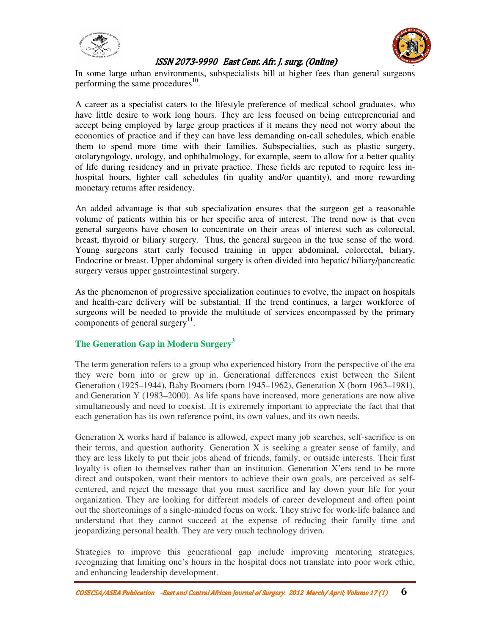



In some large urban environments, subspecialists bill at higher fees than general surgeons performing the same procedures $^{10}$ .

A career as a specialist caters to the lifestyle preference of medical school graduates, who have little desire to work long hours. They are less focused on being entrepreneurial and accept being employed by large group practices if it means they need not worry about the economics of practice and if they can have less demanding on-call schedules, which enable them to spend more time with their families. Subspecialties, such as plastic surgery, otolaryngology, urology, and ophthalmology, for example, seem to allow for a better quality of life during residency and in private practice. These fields are reputed to require less inhospital hours, lighter call schedules (in quality and/or quantity), and more rewarding monetary returns after residency.

An added advantage is that sub specialization ensures that the surgeon get a reasonable volume of patients within his or her specific area of interest. The trend now is that even general surgeons have chosen to concentrate on their areas of interest such as colorectal, breast, thyroid or biliary surgery. Thus, the general surgeon in the true sense of the word. Young surgeons start early focused training in upper abdominal, colorectal, biliary, Endocrine or breast. Upper abdominal surgery is often divided into hepatic/ biliary/pancreatic surgery versus upper gastrointestinal surgery.

As the phenomenon of progressive specialization continues to evolve, the impact on hospitals and health-care delivery will be substantial. If the trend continues, a larger workforce of surgeons will be needed to provide the multitude of services encompassed by the primary components of general surgery<sup>11</sup>.

# **The Generation Gap in Modern Surgery3**

The term generation refers to a group who experienced history from the perspective of the era they were born into or grew up in. Generational differences exist between the Silent Generation (1925–1944), Baby Boomers (born 1945–1962), Generation X (born 1963–1981), and Generation Y (1983–2000). As life spans have increased, more generations are now alive simultaneously and need to coexist. .It is extremely important to appreciate the fact that that each generation has its own reference point, its own values, and its own needs.

Generation X works hard if balance is allowed, expect many job searches, self-sacrifice is on their terms, and question authority. Generation X is seeking a greater sense of family, and they are less likely to put their jobs ahead of friends, family, or outside interests. Their first loyalty is often to themselves rather than an institution. Generation X'ers tend to be more direct and outspoken, want their mentors to achieve their own goals, are perceived as selfcentered, and reject the message that you must sacrifice and lay down your life for your organization. They are looking for different models of career development and often point out the shortcomings of a single-minded focus on work. They strive for work-life balance and understand that they cannot succeed at the expense of reducing their family time and jeopardizing personal health. They are very much technology driven.

Strategies to improve this generational gap include improving mentoring strategies, recognizing that limiting one's hours in the hospital does not translate into poor work ethic, and enhancing leadership development.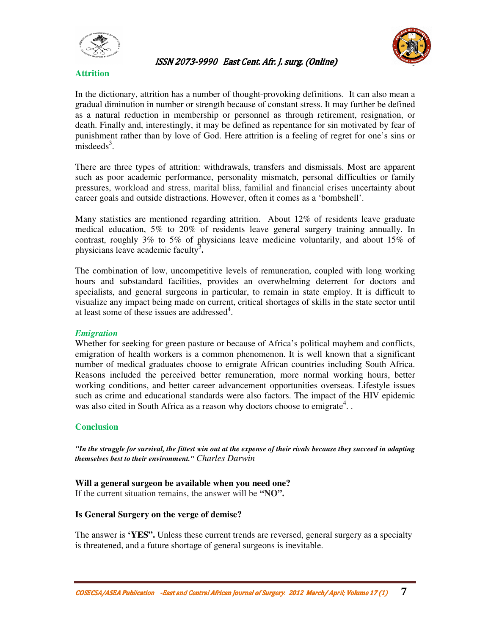



### **Attrition**

In the dictionary, attrition has a number of thought-provoking definitions. It can also mean a gradual diminution in number or strength because of constant stress. It may further be defined as a natural reduction in membership or personnel as through retirement, resignation, or death. Finally and, interestingly, it may be defined as repentance for sin motivated by fear of punishment rather than by love of God. Here attrition is a feeling of regret for one's sins or  $misededs<sup>3</sup>$ .

There are three types of attrition: withdrawals, transfers and dismissals. Most are apparent such as poor academic performance, personality mismatch, personal difficulties or family pressures, workload and stress, marital bliss, familial and financial crises uncertainty about career goals and outside distractions. However, often it comes as a 'bombshell'.

Many statistics are mentioned regarding attrition. About 12% of residents leave graduate medical education, 5% to 20% of residents leave general surgery training annually. In contrast, roughly 3% to 5% of physicians leave medicine voluntarily, and about 15% of physicians leave academic faculty3 **.** 

The combination of low, uncompetitive levels of remuneration, coupled with long working hours and substandard facilities, provides an overwhelming deterrent for doctors and specialists, and general surgeons in particular, to remain in state employ. It is difficult to visualize any impact being made on current, critical shortages of skills in the state sector until at least some of these issues are addressed<sup>4</sup>.

### *Emigration*

Whether for seeking for green pasture or because of Africa's political mayhem and conflicts, emigration of health workers is a common phenomenon. It is well known that a significant number of medical graduates choose to emigrate African countries including South Africa. Reasons included the perceived better remuneration, more normal working hours, better working conditions, and better career advancement opportunities overseas. Lifestyle issues such as crime and educational standards were also factors. The impact of the HIV epidemic was also cited in South Africa as a reason why doctors choose to emigrate<sup>4</sup>...

### **Conclusion**

*"In the struggle for survival, the fittest win out at the expense of their rivals because they succeed in adapting themselves best to their environment." Charles Darwin*

### **Will a general surgeon be available when you need one?**

If the current situation remains, the answer will be **"NO".**

### **Is General Surgery on the verge of demise?**

The answer is **'YES".** Unless these current trends are reversed, general surgery as a specialty is threatened, and a future shortage of general surgeons is inevitable.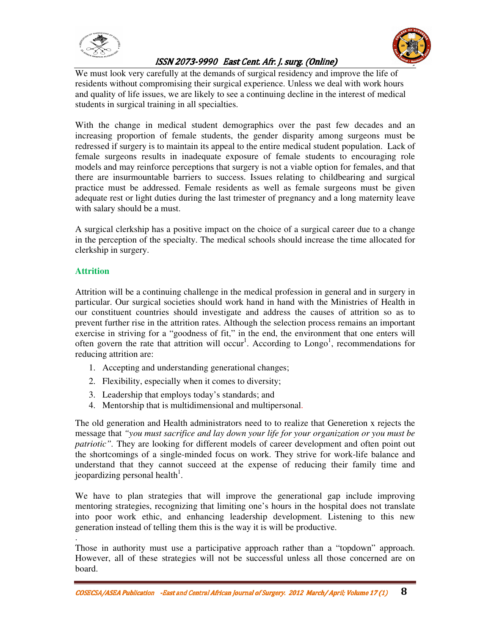



We must look very carefully at the demands of surgical residency and improve the life of residents without compromising their surgical experience. Unless we deal with work hours and quality of life issues, we are likely to see a continuing decline in the interest of medical students in surgical training in all specialties.

With the change in medical student demographics over the past few decades and an increasing proportion of female students, the gender disparity among surgeons must be redressed if surgery is to maintain its appeal to the entire medical student population. Lack of female surgeons results in inadequate exposure of female students to encouraging role models and may reinforce perceptions that surgery is not a viable option for females, and that there are insurmountable barriers to success. Issues relating to childbearing and surgical practice must be addressed. Female residents as well as female surgeons must be given adequate rest or light duties during the last trimester of pregnancy and a long maternity leave with salary should be a must.

A surgical clerkship has a positive impact on the choice of a surgical career due to a change in the perception of the specialty. The medical schools should increase the time allocated for clerkship in surgery.

# **Attrition**

Attrition will be a continuing challenge in the medical profession in general and in surgery in particular. Our surgical societies should work hand in hand with the Ministries of Health in our constituent countries should investigate and address the causes of attrition so as to prevent further rise in the attrition rates. Although the selection process remains an important exercise in striving for a "goodness of fit," in the end, the environment that one enters will often govern the rate that attrition will occur<sup>1</sup>. According to  $Longo<sup>1</sup>$ , recommendations for reducing attrition are:

- 1. Accepting and understanding generational changes;
- 2. Flexibility, especially when it comes to diversity;
- 3. Leadership that employs today's standards; and
- 4. Mentorship that is multidimensional and multipersonal.

The old generation and Health administrators need to to realize that Generetion x rejects the message that *"you must sacrifice and lay down your life for your organization or you must be patriotic".* They are looking for different models of career development and often point out the shortcomings of a single-minded focus on work. They strive for work-life balance and understand that they cannot succeed at the expense of reducing their family time and jeopardizing personal health<sup>1</sup>.

We have to plan strategies that will improve the generational gap include improving mentoring strategies, recognizing that limiting one's hours in the hospital does not translate into poor work ethic, and enhancing leadership development. Listening to this new generation instead of telling them this is the way it is will be productive.

. Those in authority must use a participative approach rather than a "topdown" approach. However, all of these strategies will not be successful unless all those concerned are on board.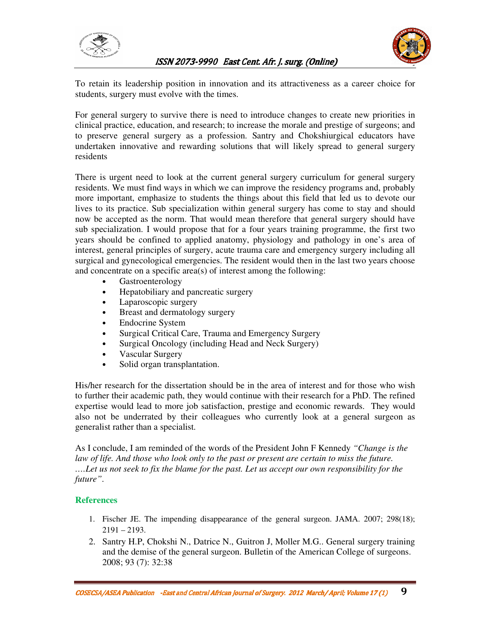



To retain its leadership position in innovation and its attractiveness as a career choice for students, surgery must evolve with the times.

For general surgery to survive there is need to introduce changes to create new priorities in clinical practice, education, and research; to increase the morale and prestige of surgeons; and to preserve general surgery as a profession. Santry and Chokshiurgical educators have undertaken innovative and rewarding solutions that will likely spread to general surgery residents

There is urgent need to look at the current general surgery curriculum for general surgery residents. We must find ways in which we can improve the residency programs and, probably more important, emphasize to students the things about this field that led us to devote our lives to its practice. Sub specialization within general surgery has come to stay and should now be accepted as the norm. That would mean therefore that general surgery should have sub specialization. I would propose that for a four years training programme, the first two years should be confined to applied anatomy, physiology and pathology in one's area of interest, general principles of surgery, acute trauma care and emergency surgery including all surgical and gynecological emergencies. The resident would then in the last two years choose and concentrate on a specific area(s) of interest among the following:

> Gastroenterology Hepatobiliary and pancreatic surgery Laparoscopic surgery Breast and dermatology surgery Endocrine System Surgical Critical Care, Trauma and Emergency Surgery Surgical Oncology (including Head and Neck Surgery) Vascular Surgery Solid organ transplantation.

His/her research for the dissertation should be in the area of interest and for those who wish to further their academic path, they would continue with their research for a PhD. The refined expertise would lead to more job satisfaction, prestige and economic rewards. They would also not be underrated by their colleagues who currently look at a general surgeon as generalist rather than a specialist.

As I conclude, I am reminded of the words of the President John F Kennedy *"Change is the*  law of life. And those who look only to the past or present are certain to miss the future. *….Let us not seek to fix the blame for the past. Let us accept our own responsibility for the future"*.

# **References**

- 1. Fischer JE. The impending disappearance of the general surgeon. JAMA. 2007; 298(18);  $2191 - 2193.$
- 2. Santry H.P, Chokshi N., Datrice N., Guitron J, Moller M.G.. General surgery training and the demise of the general surgeon. Bulletin of the American College of surgeons. 2008; 93 (7): 32:38